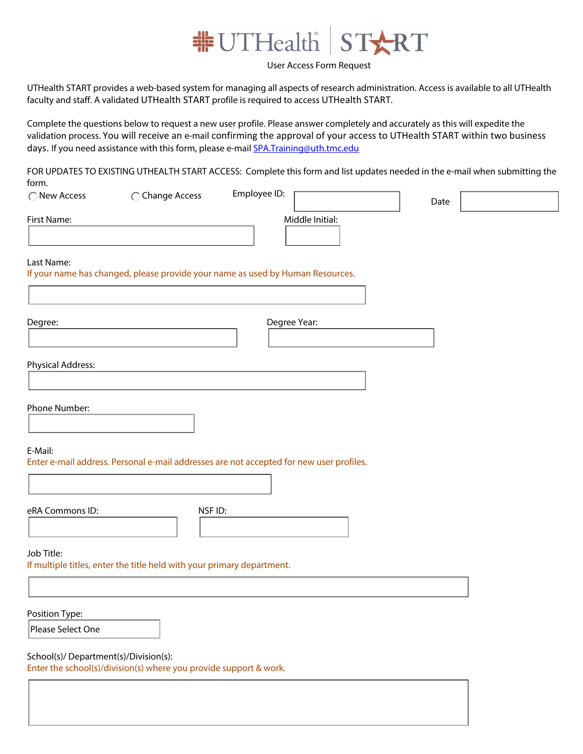

## User Access Form Request

UTHealth START provides a web-based system for managing all aspects of research administration. Access is available to all UTHealth faculty and staff. A validated UTHealth START profile is required to access UTHealth START.

Complete the questions below to request a new user profile. Please answer completely and accurately as this will expedite the validation process. You will receive an e-mail confirming the approval of your access to UTHealth START within two business days. If you need assistance with this form, please e-mail [SPA.Training@uth.tmc.edu](mailto:SPA.Training@uth.tmc.edu)

FOR UPDATES TO EXISTING UTHEALTH START ACCESS: Complete this form and list updates needed in the e-mail when submitting the form.  $Emplovee$  ID:  $\Box$ 

| ◯ New Access                         | ◯ Change Access                                                                         | Employee ID:                         |                 | Date |  |
|--------------------------------------|-----------------------------------------------------------------------------------------|--------------------------------------|-----------------|------|--|
| First Name:                          |                                                                                         |                                      | Middle Initial: |      |  |
| Last Name:                           | If your name has changed, please provide your name as used by Human Resources.          |                                      |                 |      |  |
| Degree:                              |                                                                                         | Degree Year:<br>$\blacktriangledown$ |                 |      |  |
| <b>Physical Address:</b>             |                                                                                         |                                      |                 |      |  |
| Phone Number:                        |                                                                                         |                                      |                 |      |  |
| E-Mail:                              | Enter e-mail address. Personal e-mail addresses are not accepted for new user profiles. |                                      |                 |      |  |
| eRA Commons ID:                      | NSF ID:                                                                                 |                                      |                 |      |  |
| Job Title:                           | If multiple titles, enter the title held with your primary department.                  |                                      |                 |      |  |
|                                      |                                                                                         |                                      |                 |      |  |
| Position Type:<br>Please Select One  |                                                                                         |                                      |                 |      |  |
| School(s)/Department(s)/Division(s): | Enter the school(s)/division(s) where you provide support & work.                       |                                      |                 |      |  |
|                                      |                                                                                         |                                      |                 |      |  |